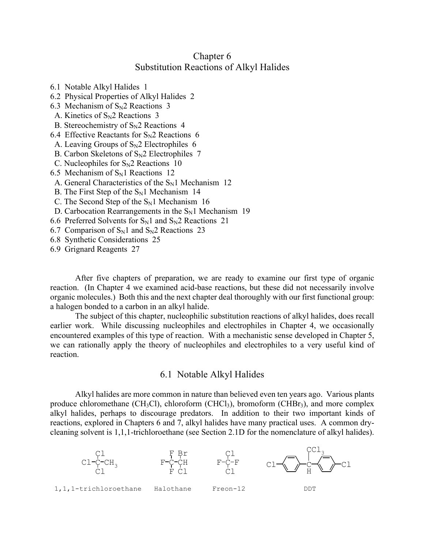## Chapter 6 Substitution Reactions of Alkyl Halides

- 6.1 Notable Alkyl Halides 1
- 6.2 Physical Properties of Alkyl Halides 2
- 6.3 Mechanism of  $S_N$ 2 Reactions 3
- A. Kinetics of  $S_N2$  Reactions 3
- B. Stereochemistry of  $S_N2$  Reactions 4
- 6.4 Effective Reactants for  $S_N2$  Reactions 6
- A. Leaving Groups of  $S_N2$  Electrophiles 6
- B. Carbon Skeletons of  $S_N2$  Electrophiles 7
- C. Nucleophiles for  $S_N2$  Reactions 10
- 6.5 Mechanism of  $S_N1$  Reactions 12
- A. General Characteristics of the  $S_N1$  Mechanism 12
- B. The First Step of the  $S_N1$  Mechanism 14
- C. The Second Step of the  $S_N1$  Mechanism 16
- D. Carbocation Rearrangements in the  $S_N1$  Mechanism 19
- 6.6 Preferred Solvents for  $S_N1$  and  $S_N2$  Reactions 21
- 6.7 Comparison of  $S_N1$  and  $S_N2$  Reactions 23
- 6.8 Synthetic Considerations 25
- 6.9 Grignard Reagents 27

After five chapters of preparation, we are ready to examine our first type of organic reaction. (In Chapter 4 we examined acid-base reactions, but these did not necessarily involve organic molecules.) Both this and the next chapter deal thoroughly with our first functional group: a halogen bonded to a carbon in an alkyl halide.

The subject of this chapter, nucleophilic substitution reactions of alkyl halides, does recall earlier work. While discussing nucleophiles and electrophiles in Chapter 4, we occasionally encountered examples of this type of reaction. With a mechanistic sense developed in Chapter 5, we can rationally apply the theory of nucleophiles and electrophiles to a very useful kind of reaction.

## 6.1 Notable Alkyl Halides

Alkyl halides are more common in nature than believed even ten years ago. Various plants produce chloromethane (CH<sub>3</sub>Cl), chloroform (CHCl<sub>3</sub>), bromoform (CHB $r_3$ ), and more complex alkyl halides, perhaps to discourage predators. In addition to their two important kinds of reactions, explored in Chapters 6 and 7, alkyl halides have many practical uses. A common drycleaning solvent is 1,1,1-trichloroethane (see Section 2.1D for the nomenclature of alkyl halides).

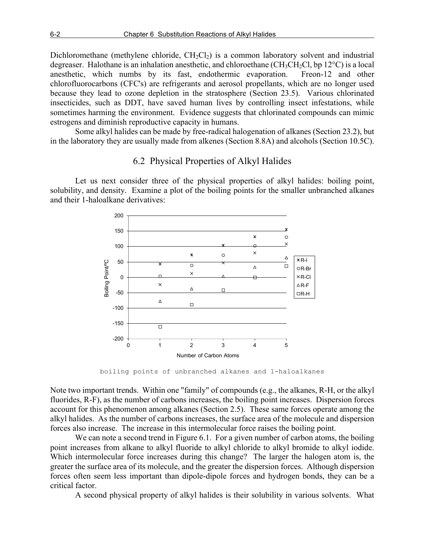Dichloromethane (methylene chloride,  $CH_2Cl_2$ ) is a common laboratory solvent and industrial degreaser. Halothane is an inhalation anesthetic, and chloroethane ( $CH_3CH_2Cl$ , bp 12 $^{\circ}$ C) is a local anesthetic, which numbs by its fast, endothermic evaporation. Freon-12 and other chlorofluorocarbons (CFC's) are refrigerants and aerosol propellants, which are no longer used because they lead to ozone depletion in the stratosphere (Section 23.5). Various chlorinated insecticides, such as DDT, have saved human lives by controlling insect infestations, while sometimes harming the environment. Evidence suggests that chlorinated compounds can mimic estrogens and diminish reproductive capacity in humans.

Some alkyl halides can be made by free-radical halogenation of alkanes (Section 23.2), but in the laboratory they are usually made from alkenes (Section 8.8A) and alcohols (Section 10.5C).

## 6.2 Physical Properties of Alkyl Halides

Let us next consider three of the physical properties of alkyl halides: boiling point, solubility, and density. Examine a plot of the boiling points for the smaller unbranched alkanes and their 1-haloalkane derivatives:



boiling points of unbranched alkanes and 1-haloalkanes

Note two important trends. Within one "family" of compounds (e.g., the alkanes, R-H, or the alkyl fluorides, R-F), as the number of carbons increases, the boiling point increases. Dispersion forces account for this phenomenon among alkanes (Section 2.5). These same forces operate among the alkyl halides. As the number of carbons increases, the surface area of the molecule and dispersion forces also increase. The increase in this intermolecular force raises the boiling point.

We can note a second trend in Figure 6.1. For a given number of carbon atoms, the boiling point increases from alkane to alkyl fluoride to alkyl chloride to alkyl bromide to alkyl iodide. Which intermolecular force increases during this change? The larger the halogen atom is, the greater the surface area of its molecule, and the greater the dispersion forces. Although dispersion forces often seem less important than dipole-dipole forces and hydrogen bonds, they can be a critical factor.

A second physical property of alkyl halides is their solubility in various solvents. What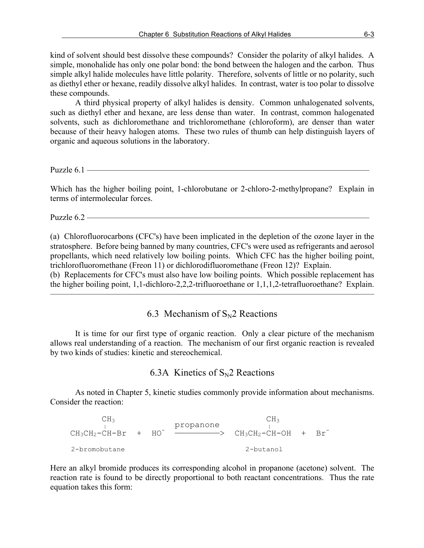kind of solvent should best dissolve these compounds? Consider the polarity of alkyl halides. A simple, monohalide has only one polar bond: the bond between the halogen and the carbon. Thus simple alkyl halide molecules have little polarity. Therefore, solvents of little or no polarity, such as diethyl ether or hexane, readily dissolve alkyl halides. In contrast, water is too polar to dissolve these compounds.

A third physical property of alkyl halides is density. Common unhalogenated solvents, such as diethyl ether and hexane, are less dense than water. In contrast, common halogenated solvents, such as dichloromethane and trichloromethane (chloroform), are denser than water because of their heavy halogen atoms. These two rules of thumb can help distinguish layers of organic and aqueous solutions in the laboratory.

Puzzle 6.1 —

Which has the higher boiling point, 1-chlorobutane or 2-chloro-2-methylpropane? Explain in terms of intermolecular forces.

Puzzle  $6.2$  —

(a) Chlorofluorocarbons (CFC's) have been implicated in the depletion of the ozone layer in the stratosphere. Before being banned by many countries, CFC's were used as refrigerants and aerosol propellants, which need relatively low boiling points. Which CFC has the higher boiling point, trichlorofluoromethane (Freon 11) or dichlorodifluoromethane (Freon 12)? Explain.

(b) Replacements for CFC's must also have low boiling points. Which possible replacement has the higher boiling point, 1,1-dichloro-2,2,2-trifluoroethane or 1,1,1,2-tetrafluoroethane? Explain.  $\overline{\phantom{a}}$  , and the contract of the contract of  $\overline{\phantom{a}}$ 

6.3 Mechanism of  $S_N$ 2 Reactions

It is time for our first type of organic reaction. Only a clear picture of the mechanism allows real understanding of a reaction. The mechanism of our first organic reaction is revealed by two kinds of studies: kinetic and stereochemical.

### 6.3A Kinetics of  $S_N$ 2 Reactions

As noted in Chapter 5, kinetic studies commonly provide information about mechanisms. Consider the reaction:

 $CH_3$  CH<sub>3</sub>  $CH_3$  $CH_3CH_2-CH-Br$  +  $HO^ \longrightarrow$   $CH_3CH_2-CH-OH$  +  $Br^-$ 2-bromobutane 2-butanol

Here an alkyl bromide produces its corresponding alcohol in propanone (acetone) solvent. The reaction rate is found to be directly proportional to both reactant concentrations. Thus the rate equation takes this form: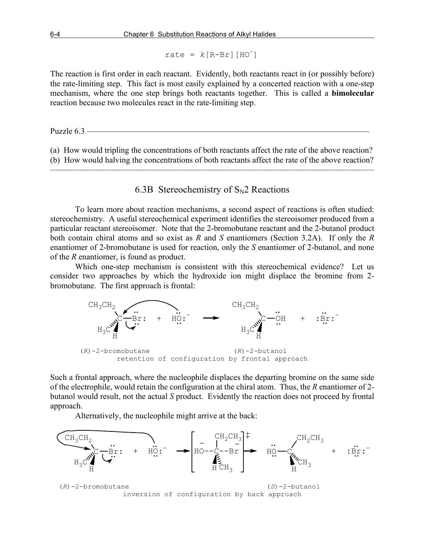$rate = k[RA-Br][HO]$ 

The reaction is first order in each reactant. Evidently, both reactants react in (or possibly before) the rate-limiting step. This fact is most easily explained by a concerted reaction with a one-step mechanism, where the one step brings both reactants together. This is called a **bimolecular** reaction because two molecules react in the rate-limiting step.

Puzzle  $6.3$  —

(a) How would tripling the concentrations of both reactants affect the rate of the above reaction? (b) How would halving the concentrations of both reactants affect the rate of the above reaction?

———————————————————————————————————————

# 6.3B Stereochemistry of  $S_N2$  Reactions

To learn more about reaction mechanisms, a second aspect of reactions is often studied: stereochemistry. A useful stereochemical experiment identifies the stereoisomer produced from a particular reactant stereoisomer. Note that the 2-bromobutane reactant and the 2-butanol product both contain chiral atoms and so exist as *R* and *S* enantiomers (Section 3.2A). If only the *R* enantiomer of 2-bromobutane is used for reaction, only the *S* enantiomer of 2-butanol, and none of the *R* enantiomer, is found as product.

Which one-step mechanism is consistent with this stereochemical evidence? Let us consider two approaches by which the hydroxide ion might displace the bromine from 2 bromobutane. The first approach is frontal:



Such a frontal approach, where the nucleophile displaces the departing bromine on the same side of the electrophile, would retain the configuration at the chiral atom. Thus, the *R* enantiomer of 2 butanol would result, not the actual *S* product. Evidently the reaction does not proceed by frontal approach.

Alternatively, the nucleophile might arrive at the back:

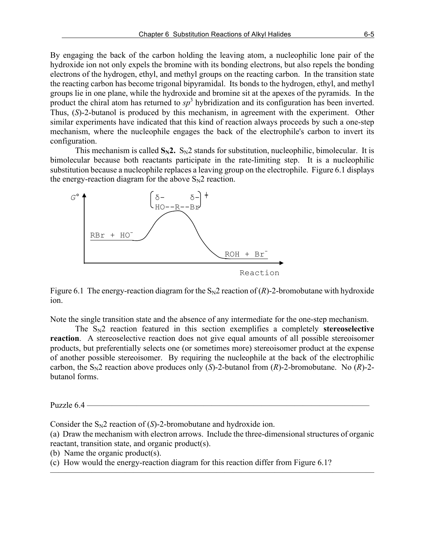By engaging the back of the carbon holding the leaving atom, a nucleophilic lone pair of the hydroxide ion not only expels the bromine with its bonding electrons, but also repels the bonding electrons of the hydrogen, ethyl, and methyl groups on the reacting carbon. In the transition state the reacting carbon has become trigonal bipyramidal. Its bonds to the hydrogen, ethyl, and methyl groups lie in one plane, while the hydroxide and bromine sit at the apexes of the pyramids. In the product the chiral atom has returned to  $sp^3$  hybridization and its configuration has been inverted. Thus, (*S*)-2-butanol is produced by this mechanism, in agreement with the experiment. Other similar experiments have indicated that this kind of reaction always proceeds by such a one-step mechanism, where the nucleophile engages the back of the electrophile's carbon to invert its configuration.

This mechanism is called  $S_N2$ .  $S_N2$  stands for substitution, nucleophilic, bimolecular. It is bimolecular because both reactants participate in the rate-limiting step. It is a nucleophilic substitution because a nucleophile replaces a leaving group on the electrophile. Figure 6.1 displays the energy-reaction diagram for the above  $S_N2$  reaction.



Figure 6.1 The energy-reaction diagram for the  $S_N2$  reaction of  $(R)$ -2-bromobutane with hydroxide ion.

Note the single transition state and the absence of any intermediate for the one-step mechanism.

The  $S_N2$  reaction featured in this section exemplifies a completely **stereoselective reaction**. A stereoselective reaction does not give equal amounts of all possible stereoisomer products, but preferentially selects one (or sometimes more) stereoisomer product at the expense of another possible stereoisomer. By requiring the nucleophile at the back of the electrophilic carbon, the  $S_N2$  reaction above produces only (*S*)-2-butanol from (*R*)-2-bromobutane. No (*R*)-2butanol forms.

Puzzle 6.4 —

Consider the  $S_N2$  reaction of  $(S)$ -2-bromobutane and hydroxide ion.

(a) Draw the mechanism with electron arrows. Include the three-dimensional structures of organic reactant, transition state, and organic product(s).

———————————————————————————————————————

(b) Name the organic product(s).

(c) How would the energy-reaction diagram for this reaction differ from Figure 6.1?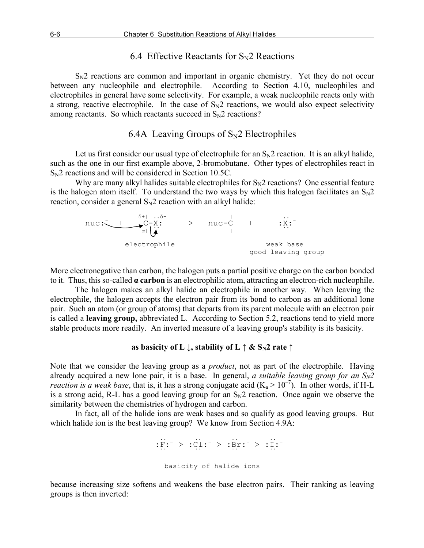### 6.4 Effective Reactants for  $S_N$ 2 Reactions

 $S_N2$  reactions are common and important in organic chemistry. Yet they do not occur between any nucleophile and electrophile. According to Section 4.10, nucleophiles and electrophiles in general have some selectivity. For example, a weak nucleophile reacts only with a strong, reactive electrophile. In the case of  $S_N2$  reactions, we would also expect selectivity among reactants. So which reactants succeed in  $S_N2$  reactions?

### 6.4A Leaving Groups of  $S_N$ 2 Electrophiles

Let us first consider our usual type of electrophile for an  $S_N2$  reaction. It is an alkyl halide, such as the one in our first example above, 2-bromobutane. Other types of electrophiles react in  $S_N2$  reactions and will be considered in Section 10.5C.

Why are many alkyl halides suitable electrophiles for  $S_N2$  reactions? One essential feature is the halogen atom itself. To understand the two ways by which this halogen facilitates an  $S_N 2$ reaction, consider a general  $S_N2$  reaction with an alkyl halide:

$$
\begin{array}{cccc}\n\texttt{nuc:} & \xrightarrow{\delta+1 \dots \delta-} & \texttt{nuc-} & + & \dots \\
& \xrightarrow{\alpha} & \downarrow & & \texttt{nuc-} & + & \dots \\
& & & & & \texttt{muc-} & + & \dots \\
& & & & & & \texttt{muc-} & + \\
& & & & & & & \texttt{muc-} & + \\
& & & & & & & \texttt{muc-} & + \\
& & & & & & & & \texttt{muc-} & + \\
& & & & & & & & \texttt{muc-} & + \\
& & & & & & & & \texttt{muc-} & + \\
& & & & & & & & \texttt{muc-} & + \\
& & & & & & & & & \texttt{muc-} & + \\
& & & & & & & & & \texttt{muc-} & + \\
& & & & & & & & & \texttt{muc-} & + \\
& & & & & & & & & \texttt{muc-} & + \\
& & & & & & & & & \texttt{muc-} & + \\
& & & & & & & & & \texttt{muc-} & + \\
& & & & & & & & & & \texttt{muc-} & + \\
& & & & & & & & & & \texttt{muc-} & + \\
& & & & & & & & & & \texttt{muc-} & + \\
& & & & & & & & & & \texttt{muc-} & + \\
& & & & & & & & & & \texttt{muc-} & + \\
& & & & & & & & & & \texttt{muc-} & + \\
& & & & & & & & & & \texttt{muc-} & + \\
& & & & & & & & & & \texttt{muc-} & + \\
& & & & & & & & & & & \texttt{muc-} & + \\
& & & & & & & & & & & \texttt{muc-} & + \\
& & & & & & & & & & & \texttt{muc-} & + \\
& & & & & & & & & & & \texttt{muc-} & + \\
& & & & & & & & & & & \texttt{muc-} & + \\
& & & & & & & & & & & \texttt{muc-} & + \\
& & & & & & & & & & & \texttt{muc-} & + \\
& & & & & & & & & & & \texttt{muc-} & + \\
& & & & & & & & & & & \texttt{muc-} & + \\
& & & & & & & & & & & \texttt{muc-} & + \\
& & & & & & & & & & & \texttt{muc-} & + \\
& & & & & & & & & &
$$

More electronegative than carbon, the halogen puts a partial positive charge on the carbon bonded to it. Thus, this so-called **α carbon** is an electrophilic atom, attracting an electron-rich nucleophile.

The halogen makes an alkyl halide an electrophile in another way. When leaving the electrophile, the halogen accepts the electron pair from its bond to carbon as an additional lone pair. Such an atom (or group of atoms) that departs from its parent molecule with an electron pair is called a **leaving group,** abbreviated L. According to Section 5.2, reactions tend to yield more stable products more readily. An inverted measure of a leaving group's stability is its basicity.

### **as basicity of L**  $\downarrow$ , stability of L  $\uparrow \&$  S<sub>N</sub>2 rate  $\uparrow$

Note that we consider the leaving group as a *product*, not as part of the electrophile. Having already acquired a new lone pair, it is a base. In general, *a suitable leaving group for an*  $S_N2$ *reaction is a weak base*, that is, it has a strong conjugate acid  $(K_a > 10^{-7})$ . In other words, if H-L is a strong acid, R-L has a good leaving group for an  $S_N2$  reaction. Once again we observe the similarity between the chemistries of hydrogen and carbon.

In fact, all of the halide ions are weak bases and so qualify as good leaving groups. But which halide ion is the best leaving group? We know from Section 4.9A:

 .. .. .. ..  $:$  F:  $^- > :$  Cl:  $^- > :$  Br:  $^- > :$  I: .. .. .. .. basicity of halide ions

because increasing size softens and weakens the base electron pairs. Their ranking as leaving groups is then inverted: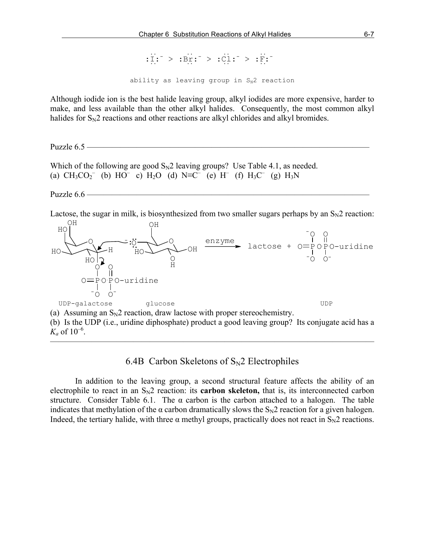.. .. .. .. :I:- > :Br:- > :Cl:- > :F:-  $\cdot \frac{1}{\cdots}$  ... . ... . ... ... ability as leaving group in  $S_N2$  reaction

Although iodide ion is the best halide leaving group, alkyl iodides are more expensive, harder to make, and less available than the other alkyl halides. Consequently, the most common alkyl halides for  $S_N2$  reactions and other reactions are alkyl chlorides and alkyl bromides.

Puzzle  $6.5$  —

Which of the following are good  $S_N2$  leaving groups? Use Table 4.1, as needed. (a)  $CH_3CO_2^-$  (b)  $HO^-$  c)  $H_2O$  (d)  $N \equiv C^-$  (e)  $H^-$  (f)  $H_3C^-$  (g)  $H_3N$ 

Puzzle  $6.6$  –

Lactose, the sugar in milk, is biosynthesized from two smaller sugars perhaps by an  $S<sub>N</sub>2$  reaction:



(b) Is the UDP (i.e., uridine diphosphate) product a good leaving group? Its conjugate acid has a  $K_a$  of  $10^{-6}$ .

 $\overline{\phantom{a}}$  , and the contract of the contract of  $\overline{\phantom{a}}$ 

6.4B Carbon Skeletons of  $S_N$ 2 Electrophiles

In addition to the leaving group, a second structural feature affects the ability of an electrophile to react in an  $S_N2$  reaction: its **carbon skeleton**, that is, its interconnected carbon structure. Consider Table 6.1. The  $\alpha$  carbon is the carbon attached to a halogen. The table indicates that methylation of the  $\alpha$  carbon dramatically slows the  $S_N2$  reaction for a given halogen. Indeed, the tertiary halide, with three  $\alpha$  methyl groups, practically does not react in  $S_N2$  reactions.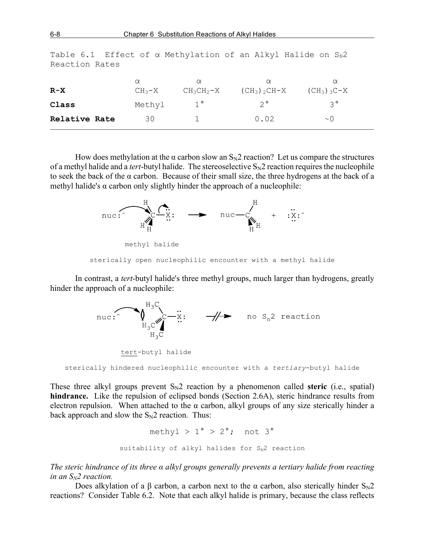| Relative Rate | 30                   |                          | 0.02                                   | $\sim$ ()                 |
|---------------|----------------------|--------------------------|----------------------------------------|---------------------------|
| Class         | Methyl               | $1^{\circ}$              | $2^{\circ}$                            | ς°                        |
| $R-X$         | $\alpha$<br>$CH_3-X$ | $\alpha$<br>$CH_3CH_2-X$ | $\alpha$<br>$(CH_3)$ <sub>2</sub> CH-X | $\alpha$<br>$(CH_3)$ 3C-X |
|               |                      |                          |                                        |                           |

Table 6.1 Effect of  $\alpha$  Methylation of an Alkyl Halide on  $S_N 2$ Reaction Rates

How does methylation at the  $\alpha$  carbon slow an  $S_N2$  reaction? Let us compare the structures of a methyl halide and a *tert*-butyl halide. The stereoselective  $S_N2$  reaction requires the nucleophile to seek the back of the  $\alpha$  carbon. Because of their small size, the three hydrogens at the back of a methyl halide's  $\alpha$  carbon only slightly hinder the approach of a nucleophile:



In contrast, a *tert*-butyl halide's three methyl groups, much larger than hydrogens, greatly hinder the approach of a nucleophile:

> nuc:  $\bigwedge_{H_3 \subset \text{w}}^{H_3 \subset} \dots \longrightarrow \text{w}$  no  $S_n$ 2 reaction<br> $H_3 \subset \text{w}$ tert-butyl halide

sterically hindered nucleophilic encounter with a *tertiary*-butyl halide

These three alkyl groups prevent  $S_N2$  reaction by a phenomenon called **steric** (i.e., spatial) **hindrance.** Like the repulsion of eclipsed bonds (Section 2.6A), steric hindrance results from electron repulsion. When attached to the  $\alpha$  carbon, alkyl groups of any size sterically hinder a back approach and slow the  $S_N2$  reaction. Thus:

> methyl  $> 1^\circ$   $> 2^\circ$ : not  $3^\circ$ suitability of alkyl halides for  $S_N2$  reaction

*The steric hindrance of its three α alkyl groups generally prevents a tertiary halide from reacting in an SN2 reaction.*

Does alkylation of a β carbon, a carbon next to the α carbon, also sterically hinder  $S_N2$ reactions? Consider Table 6.2. Note that each alkyl halide is primary, because the class reflects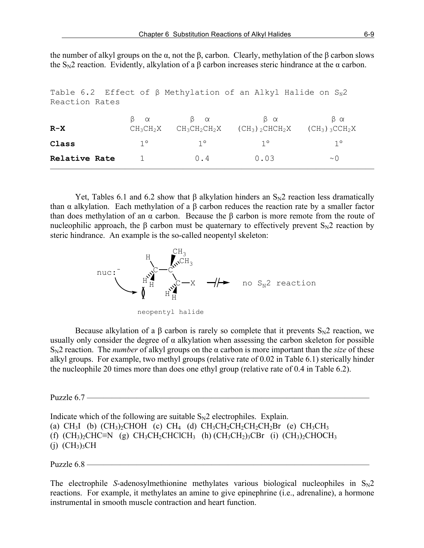the number of alkyl groups on the  $\alpha$ , not the  $\beta$ , carbon. Clearly, methylation of the  $\beta$  carbon slows the  $S_N2$  reaction. Evidently, alkylation of a β carbon increases steric hindrance at the  $\alpha$  carbon.

| Table 6.2 Effect of $\beta$ Methylation of an Alkyl Halide on $S_N$ 2 |                  |                  |                                |                               |  |  |  |  |
|-----------------------------------------------------------------------|------------------|------------------|--------------------------------|-------------------------------|--|--|--|--|
| Reaction Rates                                                        |                  |                  |                                |                               |  |  |  |  |
|                                                                       | $\beta$ $\alpha$ | $\beta$ $\alpha$ | β α                            | βα                            |  |  |  |  |
| $R-X$                                                                 | $CH_3CH_2X$      | $CH_3CH_2CH_2X$  | $(CH_3)$ 2 CHCH <sub>2</sub> X | $(CH_3)$ 3 CCH <sub>2</sub> X |  |  |  |  |
| Class                                                                 | $1^{\circ}$      | $1^{\circ}$      | $1^{\circ}$                    | $1^{\circ}$                   |  |  |  |  |
| Relative Rate                                                         |                  | 0.4              | 0.03                           | $\sim$ 0                      |  |  |  |  |
|                                                                       |                  |                  |                                |                               |  |  |  |  |

Yet, Tables 6.1 and 6.2 show that β alkylation hinders an  $S<sub>N</sub>2$  reaction less dramatically than α alkylation. Each methylation of a β carbon reduces the reaction rate by a smaller factor than does methylation of an α carbon. Because the β carbon is more remote from the route of nucleophilic approach, the β carbon must be quaternary to effectively prevent  $S_N2$  reaction by steric hindrance. An example is the so-called neopentyl skeleton:



neopentyl halide

Because alkylation of a  $\beta$  carbon is rarely so complete that it prevents  $S_N2$  reaction, we usually only consider the degree of  $\alpha$  alkylation when assessing the carbon skeleton for possible SN2 reaction. The *number* of alkyl groups on the α carbon is more important than the *size* of these alkyl groups. For example, two methyl groups (relative rate of 0.02 in Table 6.1) sterically hinder the nucleophile 20 times more than does one ethyl group (relative rate of 0.4 in Table 6.2).

Puzzle  $6.7$  –

Indicate which of the following are suitable  $S_N2$  electrophiles. Explain. (a) CH<sub>3</sub>I (b)  $(CH_3)_2CHOH$  (c) CH<sub>4</sub> (d)  $CH_3CH_2CH_2CH_2CH_2BH$  (e) CH<sub>3</sub>CH<sub>3</sub> (f)  $(CH_3)_2CHC\equiv N$  (g)  $CH_3CH_2CHClCH_3$  (h)  $(CH_3CH_2)_3CBr$  (i)  $(CH_3)_2CHOCH_3$  $(i)$   $(CH<sub>3</sub>)<sub>3</sub>CH$ 

Puzzle  $6.8$  —

The electrophile *S*-adenosylmethionine methylates various biological nucleophiles in  $S_N2$ reactions. For example, it methylates an amine to give epinephrine (i.e., adrenaline), a hormone instrumental in smooth muscle contraction and heart function.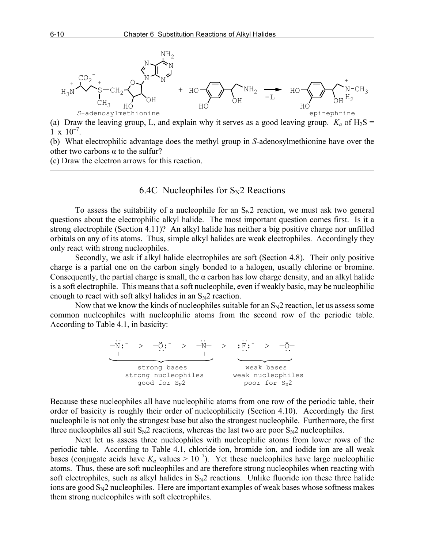

(a) Draw the leaving group, L, and explain why it serves as a good leaving group.  $K_a$  of  $H_2S =$  $1 \times 10^{-7}$ .

(b) What electrophilic advantage does the methyl group in *S*-adenosylmethionine have over the other two carbons  $\alpha$  to the sulfur?

(c) Draw the electron arrows for this reaction.

### 6.4C Nucleophiles for  $S_N$ 2 Reactions

 $\overline{\phantom{a}}$  , and the contract of the contract of  $\overline{\phantom{a}}$ 

To assess the suitability of a nucleophile for an  $S<sub>N</sub>2$  reaction, we must ask two general questions about the electrophilic alkyl halide. The most important question comes first. Is it a strong electrophile (Section 4.11)? An alkyl halide has neither a big positive charge nor unfilled orbitals on any of its atoms. Thus, simple alkyl halides are weak electrophiles. Accordingly they only react with strong nucleophiles.

Secondly, we ask if alkyl halide electrophiles are soft (Section 4.8). Their only positive charge is a partial one on the carbon singly bonded to a halogen, usually chlorine or bromine. Consequently, the partial charge is small, the  $\alpha$  carbon has low charge density, and an alkyl halide is a soft electrophile. This means that a soft nucleophile, even if weakly basic, may be nucleophilic enough to react with soft alkyl halides in an  $S_N2$  reaction.

Now that we know the kinds of nucleophiles suitable for an  $S_N2$  reaction, let us assess some common nucleophiles with nucleophilic atoms from the second row of the periodic table. According to Table 4.1, in basicity:



Because these nucleophiles all have nucleophilic atoms from one row of the periodic table, their order of basicity is roughly their order of nucleophilicity (Section 4.10). Accordingly the first nucleophile is not only the strongest base but also the strongest nucleophile. Furthermore, the first three nucleophiles all suit  $S_N2$  reactions, whereas the last two are poor  $S_N2$  nucleophiles.

Next let us assess three nucleophiles with nucleophilic atoms from lower rows of the periodic table. According to Table 4.1, chloride ion, bromide ion, and iodide ion are all weak bases (conjugate acids have  $K_a$  values  $> 10^{-7}$ ). Yet these nucleophiles have large nucleophilic atoms. Thus, these are soft nucleophiles and are therefore strong nucleophiles when reacting with soft electrophiles, such as alkyl halides in  $S_N2$  reactions. Unlike fluoride ion these three halide ions are good  $S_N2$  nucleophiles. Here are important examples of weak bases whose softness makes them strong nucleophiles with soft electrophiles.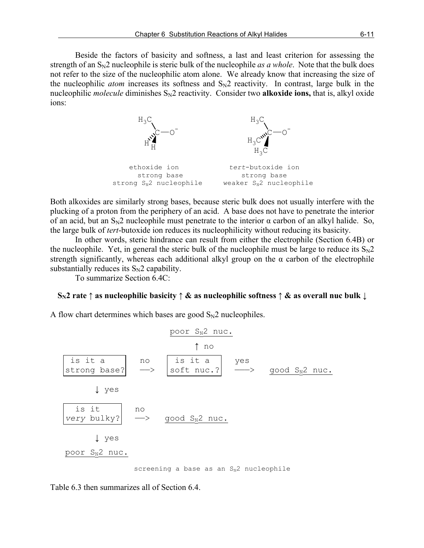Beside the factors of basicity and softness, a last and least criterion for assessing the strength of an  $S_N$ 2 nucleophile is steric bulk of the nucleophile *as a whole*. Note that the bulk does not refer to the size of the nucleophilic atom alone. We already know that increasing the size of the nucleophilic *atom* increases its softness and  $S_N2$  reactivity. In contrast, large bulk in the nucleophilic *molecule* diminishes  $S_N2$  reactivity. Consider two **alkoxide ions,** that is, alkyl oxide ions:



Both alkoxides are similarly strong bases, because steric bulk does not usually interfere with the plucking of a proton from the periphery of an acid. A base does not have to penetrate the interior of an acid, but an  $S_N2$  nucleophile must penetrate to the interior  $\alpha$  carbon of an alkyl halide. So, the large bulk of *tert*-butoxide ion reduces its nucleophilicity without reducing its basicity.

In other words, steric hindrance can result from either the electrophile (Section 6.4B) or the nucleophile. Yet, in general the steric bulk of the nucleophile must be large to reduce its  $S_N 2$ strength significantly, whereas each additional alkyl group on the  $\alpha$  carbon of the electrophile substantially reduces its  $S_N2$  capability.

To summarize Section 6.4C:

#### **SN2 rate ↑ as nucleophilic basicity ↑ & as nucleophilic softness ↑ & as overall nuc bulk ↓**

A flow chart determines which bases are good  $S_N2$  nucleophiles.



screening a base as an  $S_N^2$  nucleophile

Table 6.3 then summarizes all of Section 6.4.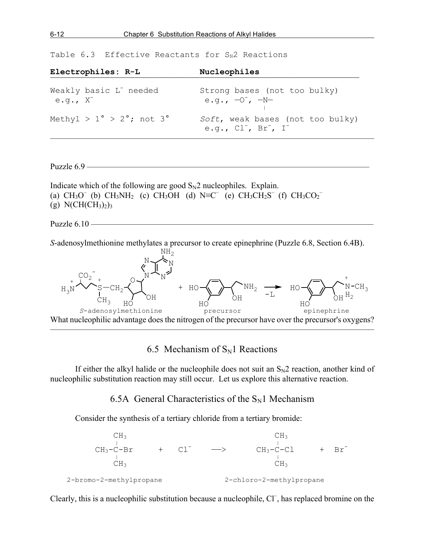Table 6.3 Effective Reactants for  $S_N$ 2 Reactions

| Nucleophiles                                                      |
|-------------------------------------------------------------------|
| Strong bases (not too bulky)<br>e.g., $-0^-$ , $-N-$              |
| Soft, weak bases (not too bulky)<br>e.g., $Cl^-$ , $Br^-$ , $I^-$ |
|                                                                   |

Puzzle  $6.9$  —

Indicate which of the following are good  $S_N2$  nucleophiles. Explain. (a)  $CH_3O^-(b) \ CH_3NH_2$  (c)  $CH_3OH$  (d)  $N \equiv C^-(e) \ CH_3CH_2S^-(f) \ CH_3CO_2^-$ (g)  $N(CH(CH_3)_2)_3$ 

Puzzle  $6.10$  —

*S*-adenosylmethionine methylates a precursor to create epinephrine (Puzzle 6.8, Section 6.4B).



## 6.5 Mechanism of  $S_N1$  Reactions

If either the alkyl halide or the nucleophile does not suit an  $S_N2$  reaction, another kind of nucleophilic substitution reaction may still occur. Let us explore this alternative reaction.

6.5A General Characteristics of the  $S_N1$  Mechanism

Consider the synthesis of a tertiary chloride from a tertiary bromide:



Clearly, this is a nucleophilic substitution because a nucleophile, Cl<sup>-</sup>, has replaced bromine on the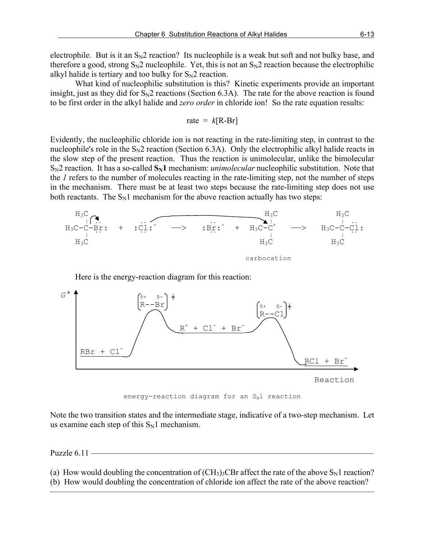electrophile. But is it an  $S_N2$  reaction? Its nucleophile is a weak but soft and not bulky base, and therefore a good, strong  $S_N$ 2 nucleophile. Yet, this is not an  $S_N$ 2 reaction because the electrophilic alkyl halide is tertiary and too bulky for  $S_N2$  reaction.

What kind of nucleophilic substitution is this? Kinetic experiments provide an important insight, just as they did for  $S_N2$  reactions (Section 6.3A). The rate for the above reaction is found to be first order in the alkyl halide and *zero order* in chloride ion! So the rate equation results:

$$
rate = k[R - Br]
$$

Evidently, the nucleophilic chloride ion is not reacting in the rate-limiting step, in contrast to the nucleophile's role in the  $S_N2$  reaction (Section 6.3A). Only the electrophilic alkyl halide reacts in the slow step of the present reaction. Thus the reaction is unimolecular, unlike the bimolecular  $S_N2$  reaction. It has a so-called  $S_N1$  mechanism: *unimolecular* nucleophilic substitution. Note that the *1* refers to the number of molecules reacting in the rate-limiting step, not the number of steps in the mechanism. There must be at least two steps because the rate-limiting step does not use both reactants. The  $S_N1$  mechanism for the above reaction actually has two steps:



Here is the energy-reaction diagram for this reaction:



energy-reaction diagram for an  $S_N1$  reaction

Note the two transition states and the intermediate stage, indicative of a two-step mechanism. Let us examine each step of this  $S_N1$  mechanism.

Puzzle 6.11 -

(a) How would doubling the concentration of  $(CH_3)$ <sup>3</sup>CBr affect the rate of the above  $S_N1$  reaction? (b) How would doubling the concentration of chloride ion affect the rate of the above reaction?

———————————————————————————————————————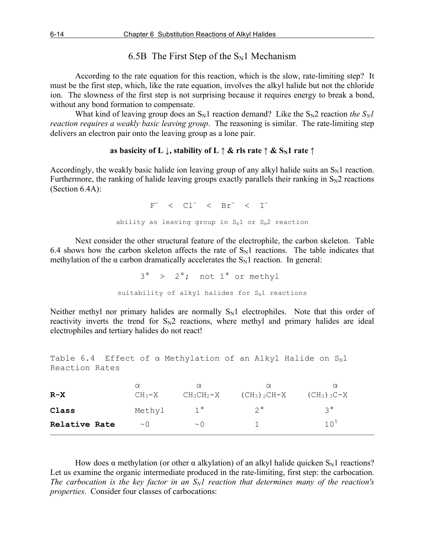### 6.5B The First Step of the  $S_N1$  Mechanism

According to the rate equation for this reaction, which is the slow, rate-limiting step? It must be the first step, which, like the rate equation, involves the alkyl halide but not the chloride ion. The slowness of the first step is not surprising because it requires energy to break a bond, without any bond formation to compensate.

What kind of leaving group does an  $S_N1$  reaction demand? Like the  $S_N2$  reaction *the*  $S_N1$ *reaction requires a weakly basic leaving group*. The reasoning is similar. The rate-limiting step delivers an electron pair onto the leaving group as a lone pair.

### **as basicity of L**  $\downarrow$ , stability of L  $\uparrow \&$  rls rate  $\uparrow \&$  S<sub>N</sub>1 rate  $\uparrow$

Accordingly, the weakly basic halide ion leaving group of any alkyl halide suits an  $S_N1$  reaction. Furthermore, the ranking of halide leaving groups exactly parallels their ranking in  $S_N2$  reactions (Section 6.4A):

 $\mathbf{F}^ \langle$  Cl<sup>-</sup>  $\langle$  Br<sup>-</sup>  $\langle$  I<sup>-</sup> ability as leaving group in  $S_N1$  or  $S_N2$  reaction

Next consider the other structural feature of the electrophile, the carbon skeleton. Table 6.4 shows how the carbon skeleton affects the rate of  $S_N1$  reactions. The table indicates that methylation of the  $\alpha$  carbon dramatically accelerates the  $S_N1$  reaction. In general:

> 3° > 2°; not 1° or methyl suitability of alkyl halides for  $S_N1$  reactions

Neither methyl nor primary halides are normally  $S_N1$  electrophiles. Note that this order of reactivity inverts the trend for  $S_N2$  reactions, where methyl and primary halides are ideal electrophiles and tertiary halides do not react!

Table 6.4 Effect of  $\alpha$  Methylation of an Alkyl Halide on  $S_N1$ Reaction Rates

| $R-X$         | $\alpha$<br>$CH_3-X$ | $\alpha$<br>$CH_3CH_2-X$ | $\alpha$<br>$(CH_3)$ <sub>2</sub> CH-X | α<br>$(CH_3)$ 3C-X |
|---------------|----------------------|--------------------------|----------------------------------------|--------------------|
| Class         | Methyl               | $1^{\circ}$              | $2^{\circ}$                            | $3^{\circ}$        |
| Relative Rate | $\sim$ 0             | $\sim$ 0                 |                                        | 10 <sup>5</sup>    |
|               |                      |                          |                                        |                    |

How does  $\alpha$  methylation (or other  $\alpha$  alkylation) of an alkyl halide quicken S<sub>N</sub>1 reactions? Let us examine the organic intermediate produced in the rate-limiting, first step: the carbocation. The carbocation is the key factor in an  $S_N1$  reaction that determines many of the reaction's *properties*. Consider four classes of carbocations: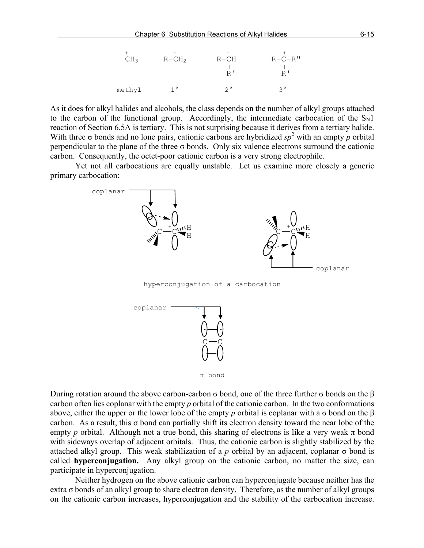

As it does for alkyl halides and alcohols, the class depends on the number of alkyl groups attached to the carbon of the functional group. Accordingly, the intermediate carbocation of the  $S_N1$ reaction of Section 6.5A is tertiary. This is not surprising because it derives from a tertiary halide. With three  $\sigma$  bonds and no lone pairs, cationic carbons are hybridized  $sp^2$  with an empty p orbital perpendicular to the plane of the three  $\sigma$  bonds. Only six valence electrons surround the cationic carbon. Consequently, the octet-poor cationic carbon is a very strong electrophile.

Yet not all carbocations are equally unstable. Let us examine more closely a generic primary carbocation:



hyperconjugation of a carbocation





During rotation around the above carbon-carbon σ bond, one of the three further σ bonds on the β carbon often lies coplanar with the empty *p* orbital of the cationic carbon. In the two conformations above, either the upper or the lower lobe of the empty *p* orbital is coplanar with a σ bond on the β carbon. As a result, this  $\sigma$  bond can partially shift its electron density toward the near lobe of the empty *p* orbital. Although not a true bond, this sharing of electrons is like a very weak  $\pi$  bond with sideways overlap of adjacent orbitals. Thus, the cationic carbon is slightly stabilized by the attached alkyl group. This weak stabilization of a *p* orbital by an adjacent, coplanar σ bond is called **hyperconjugation.** Any alkyl group on the cationic carbon, no matter the size, can participate in hyperconjugation.

Neither hydrogen on the above cationic carbon can hyperconjugate because neither has the extra σ bonds of an alkyl group to share electron density. Therefore, as the number of alkyl groups on the cationic carbon increases, hyperconjugation and the stability of the carbocation increase.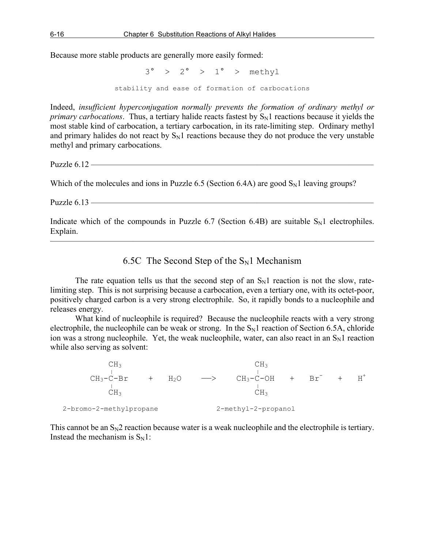Because more stable products are generally more easily formed:

 $3^{\circ}$  >  $2^{\circ}$  >  $1^{\circ}$  > methyl stability and ease of formation of carbocations

Indeed, *insufficient hyperconjugation normally prevents the formation of ordinary methyl or primary carbocations*. Thus, a tertiary halide reacts fastest by  $S_N1$  reactions because it yields the most stable kind of carbocation, a tertiary carbocation, in its rate-limiting step. Ordinary methyl and primary halides do not react by  $S_N1$  reactions because they do not produce the very unstable methyl and primary carbocations.

Puzzle  $6.12$  —

Which of the molecules and ions in Puzzle 6.5 (Section 6.4A) are good  $S<sub>N</sub>1$  leaving groups?

Puzzle 6.13 —

Indicate which of the compounds in Puzzle 6.7 (Section 6.4B) are suitable  $S_N1$  electrophiles. Explain. ———————————————————————————————————————

6.5C The Second Step of the  $S_N1$  Mechanism

The rate equation tells us that the second step of an  $S_N1$  reaction is not the slow, ratelimiting step. This is not surprising because a carbocation, even a tertiary one, with its octet-poor, positively charged carbon is a very strong electrophile. So, it rapidly bonds to a nucleophile and releases energy.

What kind of nucleophile is required? Because the nucleophile reacts with a very strong electrophile, the nucleophile can be weak or strong. In the  $S_N1$  reaction of Section 6.5A, chloride ion was a strong nucleophile. Yet, the weak nucleophile, water, can also react in an  $S_N1$  reaction while also serving as solvent:

 $CH_3$   $CH_3$  $CH_3-C-Br$  +  $H_2O$  -->  $CH_3-C-OH$  +  $Br^-$  +  $H^+$  $\frac{1}{1}$   $\frac{1}{1}$   $\frac{1}{1}$   $\frac{1}{1}$   $\frac{1}{1}$   $\frac{1}{1}$  $CH<sub>3</sub>$  CH<sub>3</sub> 2-bromo-2-methylpropane 2-methyl-2-propanol

This cannot be an  $S_N2$  reaction because water is a weak nucleophile and the electrophile is tertiary. Instead the mechanism is  $S_N1$ :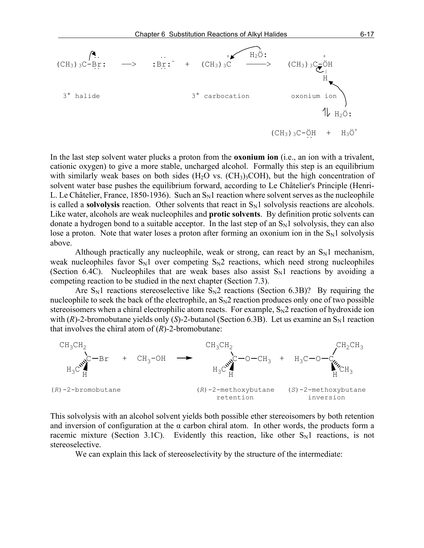

In the last step solvent water plucks a proton from the **oxonium ion** (i.e., an ion with a trivalent, cationic oxygen) to give a more stable, uncharged alcohol. Formally this step is an equilibrium with similarly weak bases on both sides  $(H<sub>2</sub>O$  vs.  $(CH<sub>3</sub>)<sub>3</sub>COH)$ , but the high concentration of solvent water base pushes the equilibrium forward, according to Le Châtelier's Principle (Henri-L. Le Châtelier, France, 1850-1936). Such an  $S<sub>N</sub>1$  reaction where solvent serves as the nucleophile is called a **solvolysis** reaction. Other solvents that react in  $S_N1$  solvolysis reactions are alcohols. Like water, alcohols are weak nucleophiles and **protic solvents**. By definition protic solvents can donate a hydrogen bond to a suitable acceptor. In the last step of an  $S_N1$  solvolysis, they can also lose a proton. Note that water loses a proton after forming an oxonium ion in the  $S_N1$  solvolysis above.

Although practically any nucleophile, weak or strong, can react by an  $S_N1$  mechanism, weak nucleophiles favor  $S_N1$  over competing  $S_N2$  reactions, which need strong nucleophiles (Section 6.4C). Nucleophiles that are weak bases also assist  $S_N1$  reactions by avoiding a competing reaction to be studied in the next chapter (Section 7.3).

Are  $S_N1$  reactions stereoselective like  $S_N2$  reactions (Section 6.3B)? By requiring the nucleophile to seek the back of the electrophile, an  $S_N2$  reaction produces only one of two possible stereoisomers when a chiral electrophilic atom reacts. For example,  $S_N2$  reaction of hydroxide ion with  $(R)$ -2-bromobutane yields only  $(S)$ -2-butanol (Section 6.3B). Let us examine an  $S_N1$  reaction that involves the chiral atom of (*R*)-2-bromobutane:



This solvolysis with an alcohol solvent yields both possible ether stereoisomers by both retention and inversion of configuration at the  $\alpha$  carbon chiral atom. In other words, the products form a racemic mixture (Section 3.1C). Evidently this reaction, like other  $S_N1$  reactions, is not stereoselective.

We can explain this lack of stereoselectivity by the structure of the intermediate: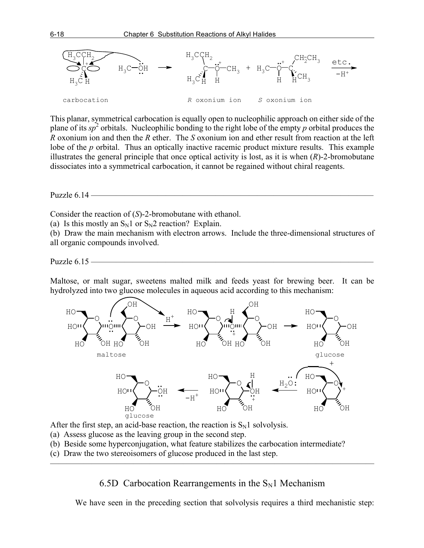

This planar, symmetrical carbocation is equally open to nucleophilic approach on either side of the plane of its  $sp^2$  orbitals. Nucleophilic bonding to the right lobe of the empty *p* orbital produces the *R* oxonium ion and then the *R* ether. The *S* oxonium ion and ether result from reaction at the left lobe of the *p* orbital. Thus an optically inactive racemic product mixture results. This example illustrates the general principle that once optical activity is lost, as it is when (*R*)-2-bromobutane dissociates into a symmetrical carbocation, it cannot be regained without chiral reagents.

Puzzle  $6.14$  –

Consider the reaction of (*S*)-2-bromobutane with ethanol.

(a) Is this mostly an  $S_N1$  or  $S_N2$  reaction? Explain.

(b) Draw the main mechanism with electron arrows. Include the three-dimensional structures of all organic compounds involved.

Puzzle 6.15 -

Maltose, or malt sugar, sweetens malted milk and feeds yeast for brewing beer. It can be hydrolyzed into two glucose molecules in aqueous acid according to this mechanism:



After the first step, an acid-base reaction, the reaction is  $S_N1$  solvolysis.

- (a) Assess glucose as the leaving group in the second step.
- (b) Beside some hyperconjugation, what feature stabilizes the carbocation intermediate?
- (c) Draw the two stereoisomers of glucose produced in the last step.

6.5D Carbocation Rearrangements in the  $S_N1$  Mechanism

———————————————————————————————————————

We have seen in the preceding section that solvolysis requires a third mechanistic step: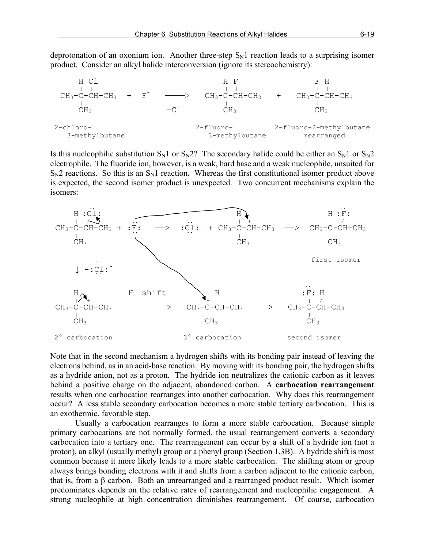deprotonation of an oxonium ion. Another three-step  $S_N1$  reaction leads to a surprising isomer product. Consider an alkyl halide interconversion (ignore its stereochemistry):



Is this nucleophilic substitution  $S_N1$  or  $S_N2$ ? The secondary halide could be either an  $S_N1$  or  $S_N2$ electrophile. The fluoride ion, however, is a weak, hard base and a weak nucleophile, unsuited for  $S_N2$  reactions. So this is an  $S_N1$  reaction. Whereas the first constitutional isomer product above is expected, the second isomer product is unexpected. Two concurrent mechanisms explain the isomers:



Note that in the second mechanism a hydrogen shifts with its bonding pair instead of leaving the electrons behind, as in an acid-base reaction. By moving with its bonding pair, the hydrogen shifts as a hydride anion, not as a proton. The hydride ion neutralizes the cationic carbon as it leaves behind a positive charge on the adjacent, abandoned carbon. A **carbocation rearrangement** results when one carbocation rearranges into another carbocation. Why does this rearrangement occur? A less stable secondary carbocation becomes a more stable tertiary carbocation. This is an exothermic, favorable step.

Usually a carbocation rearranges to form a more stable carbocation. Because simple primary carbocations are not normally formed, the usual rearrangement converts a secondary carbocation into a tertiary one. The rearrangement can occur by a shift of a hydride ion (not a proton), an alkyl (usually methyl) group or a phenyl group (Section 1.3B). A hydride shift is most common because it more likely leads to a more stable carbocation. The shifting atom or group always brings bonding electrons with it and shifts from a carbon adjacent to the cationic carbon, that is, from a β carbon. Both an unrearranged and a rearranged product result. Which isomer predominates depends on the relative rates of rearrangement and nucleophilic engagement. A strong nucleophile at high concentration diminishes rearrangement. Of course, carbocation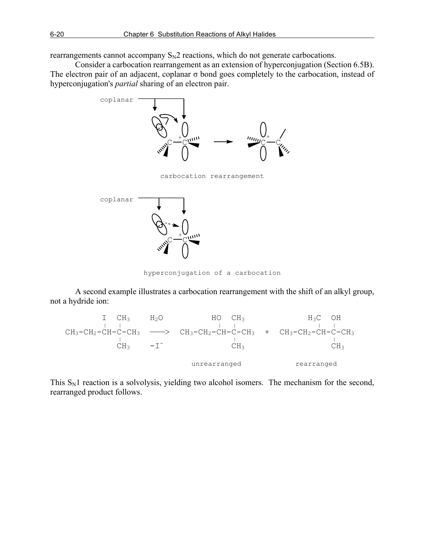rearrangements cannot accompany  $S_N2$  reactions, which do not generate carbocations.

Consider a carbocation rearrangement as an extension of hyperconjugation (Section 6.5B). The electron pair of an adjacent, coplanar  $\sigma$  bond goes completely to the carbocation, instead of hyperconjugation's *partial* sharing of an electron pair.



hyperconjugation of a carbocation

A second example illustrates a carbocation rearrangement with the shift of an alkyl group, not a hydride ion:



This  $S_N1$  reaction is a solvolysis, yielding two alcohol isomers. The mechanism for the second, rearranged product follows.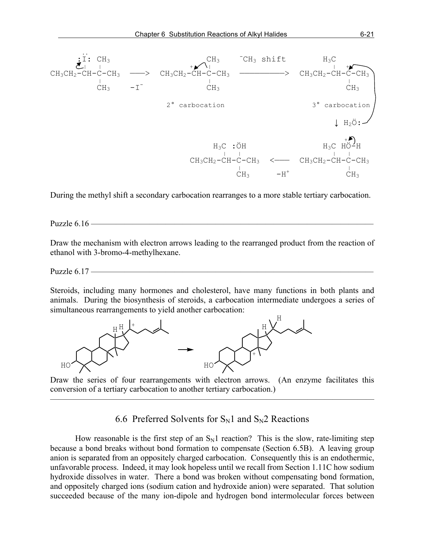

During the methyl shift a secondary carbocation rearranges to a more stable tertiary carbocation.

Puzzle 6.16 ————

Draw the mechanism with electron arrows leading to the rearranged product from the reaction of ethanol with 3-bromo-4-methylhexane.

Puzzle 6.17 —————

Steroids, including many hormones and cholesterol, have many functions in both plants and animals. During the biosynthesis of steroids, a carbocation intermediate undergoes a series of simultaneous rearrangements to yield another carbocation:



Draw the series of four rearrangements with electron arrows. (An enzyme facilitates this conversion of a tertiary carbocation to another tertiary carbocation.)

———————————————————————————————————————

6.6 Preferred Solvents for  $S_N1$  and  $S_N2$  Reactions

How reasonable is the first step of an  $S_N1$  reaction? This is the slow, rate-limiting step because a bond breaks without bond formation to compensate (Section 6.5B). A leaving group anion is separated from an oppositely charged carbocation. Consequently this is an endothermic, unfavorable process. Indeed, it may look hopeless until we recall from Section 1.11C how sodium hydroxide dissolves in water. There a bond was broken without compensating bond formation, and oppositely charged ions (sodium cation and hydroxide anion) were separated. That solution succeeded because of the many ion-dipole and hydrogen bond intermolecular forces between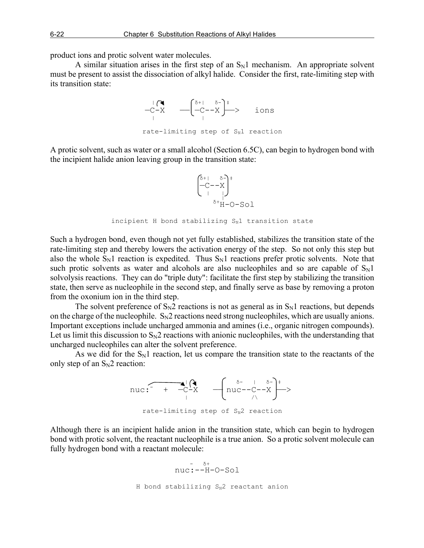product ions and protic solvent water molecules.

A similar situation arises in the first step of an  $S_N1$  mechanism. An appropriate solvent must be present to assist the dissociation of alkyl halide. Consider the first, rate-limiting step with its transition state:



A protic solvent, such as water or a small alcohol (Section 6.5C), can begin to hydrogen bond with the incipient halide anion leaving group in the transition state:



incipient H bond stabilizing  $S_N1$  transition state

Such a hydrogen bond, even though not yet fully established, stabilizes the transition state of the rate-limiting step and thereby lowers the activation energy of the step. So not only this step but also the whole  $S_N1$  reaction is expedited. Thus  $S_N1$  reactions prefer protic solvents. Note that such protic solvents as water and alcohols are also nucleophiles and so are capable of  $S_N1$ solvolysis reactions. They can do "triple duty": facilitate the first step by stabilizing the transition state, then serve as nucleophile in the second step, and finally serve as base by removing a proton from the oxonium ion in the third step.

The solvent preference of  $S_N2$  reactions is not as general as in  $S_N1$  reactions, but depends on the charge of the nucleophile.  $S_N2$  reactions need strong nucleophiles, which are usually anions. Important exceptions include uncharged ammonia and amines (i.e., organic nitrogen compounds). Let us limit this discussion to  $S_N2$  reactions with anionic nucleophiles, with the understanding that uncharged nucleophiles can alter the solvent preference.

As we did for the  $S_N1$  reaction, let us compare the transition state to the reactants of the only step of an  $S_N2$  reaction:



rate-limiting step of  $S_N2$  reaction

Although there is an incipient halide anion in the transition state, which can begin to hydrogen bond with protic solvent, the reactant nucleophile is a true anion. So a protic solvent molecule can fully hydrogen bond with a reactant molecule:

 $\delta$ + nuc:--H-O-Sol H bond stabilizing  $S_N^2$  reactant anion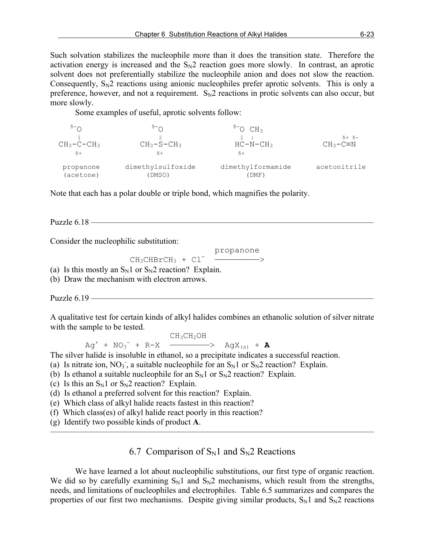Such solvation stabilizes the nucleophile more than it does the transition state. Therefore the activation energy is increased and the  $S_N2$  reaction goes more slowly. In contrast, an aprotic solvent does not preferentially stabilize the nucleophile anion and does not slow the reaction. Consequently,  $S_N2$  reactions using anionic nucleophiles prefer aprotic solvents. This is only a preference, however, and not a requirement.  $S_N2$  reactions in protic solvents can also occur, but more slowly.

Some examples of useful, aprotic solvents follow:

| $CH_3-C-CH_3$<br>$\delta$ + | $^{\circ}$ $\sim$<br>$CH_3-S-CH_3$<br>δ+ | $^{\circ}$ <sup>-</sup> O CH <sub>3</sub><br>$HC-N-CH3$<br>$\delta$ + | $\delta + \delta -$<br>$CH_3-C \equiv N$ |
|-----------------------------|------------------------------------------|-----------------------------------------------------------------------|------------------------------------------|
| propanone                   | dimethylsulfoxide                        | dimethylformamide                                                     | acetonitrile                             |
| (acetone)                   | (DMSO)                                   | (DMF)                                                                 |                                          |

Note that each has a polar double or triple bond, which magnifies the polarity.

Puzzle  $6.18$  —

Consider the nucleophilic substitution:

propanone

 $CH_3CHBrCH_3 + Cl^-$  ------------->

(a) Is this mostly an  $S_N1$  or  $S_N2$  reaction? Explain.

(b) Draw the mechanism with electron arrows.

Puzzle  $6.19$  —

A qualitative test for certain kinds of alkyl halides combines an ethanolic solution of silver nitrate with the sample to be tested.

 $CH_3CH_2OH$  $Ag^{+}$  +  $NO_{3}^{-}$  + R-X  $\longrightarrow$  AgX<sub>(s)</sub> + **A** 

The silver halide is insoluble in ethanol, so a precipitate indicates a successful reaction.

- (a) Is nitrate ion, NO<sub>3</sub>, a suitable nucleophile for an  $S_N1$  or  $S_N2$  reaction? Explain.
- (b) Is ethanol a suitable nucleophile for an  $S_N1$  or  $S_N2$  reaction? Explain.
- (c) Is this an  $S_N1$  or  $S_N2$  reaction? Explain.
- (d) Is ethanol a preferred solvent for this reaction? Explain.
- (e) Which class of alkyl halide reacts fastest in this reaction?
- (f) Which class(es) of alkyl halide react poorly in this reaction?
- (g) Identify two possible kinds of product **A**.

### 6.7 Comparison of  $S_N1$  and  $S_N2$  Reactions

———————————————————————————————————————

We have learned a lot about nucleophilic substitutions, our first type of organic reaction. We did so by carefully examining  $S_N1$  and  $S_N2$  mechanisms, which result from the strengths, needs, and limitations of nucleophiles and electrophiles. Table 6.5 summarizes and compares the properties of our first two mechanisms. Despite giving similar products,  $S_N1$  and  $S_N2$  reactions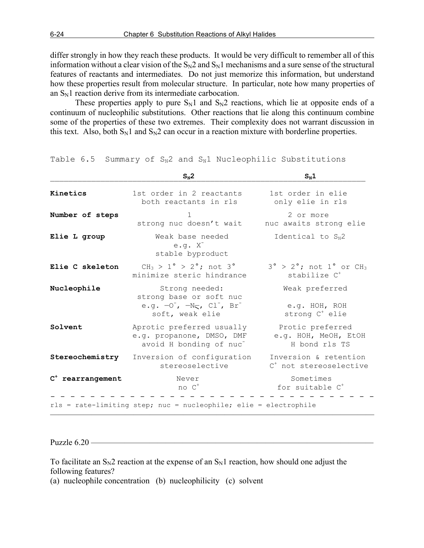differ strongly in how they reach these products. It would be very difficult to remember all of this information without a clear vision of the  $S_N2$  and  $S_N1$  mechanisms and a sure sense of the structural features of reactants and intermediates. Do not just memorize this information, but understand how these properties result from molecular structure. In particular, note how many properties of an  $S_N$ 1 reaction derive from its intermediate carbocation.

These properties apply to pure  $S_N1$  and  $S_N2$  reactions, which lie at opposite ends of a continuum of nucleophilic substitutions. Other reactions that lie along this continuum combine some of the properties of these two extremes. Their complexity does not warrant discussion in this text. Also, both  $S_N1$  and  $S_N2$  can occur in a reaction mixture with borderline properties.

|                     | $S_N2$                                                                                                | $S_N1$                                                                |
|---------------------|-------------------------------------------------------------------------------------------------------|-----------------------------------------------------------------------|
| Kinetics            | 1st order in 2 reactants<br>both reactants in rls                                                     | 1st order in elie<br>only elie in rls                                 |
| Number of steps     | 1<br>strong nuc doesn't wait                                                                          | 2 or more<br>nuc awaits strong elie                                   |
| Elie L group        | Weak base needed<br>$e.g. X^-$<br>stable byproduct                                                    | Identical to $S_N2$                                                   |
| Elie C skeleton     | $CH_3 > 1^{\circ} > 2^{\circ}$ ; not 3°<br>minimize steric hindrance                                  | $3^\circ$ > 2°; not 1° or CH <sub>3</sub><br>stabilize C <sup>+</sup> |
| Nucleophile         | Strong needed:<br>strong base or soft nuc<br>e.g. $-0^-$ , $-N5$ , $Cl^-$ , $Br^-$<br>soft, weak elie | Weak preferred<br>e.g. HOH, ROH<br>strong C <sup>+</sup> elie         |
| Solvent             | Aprotic preferred usually<br>e.g. propanone, DMSO, DMF<br>avoid H bonding of nuc <sup>-</sup>         | Protic preferred<br>e.g. HOH, MeOH, EtOH<br>H bond rls TS             |
| Stereochemistry     | Inversion of configuration<br>stereoselective                                                         | Inversion & retention<br>C <sup>+</sup> not stereoselective           |
| $C^+$ rearrangement | Never<br>$no C+$                                                                                      | Sometimes<br>for suitable C <sup>+</sup>                              |
|                     | rls = rate-limiting step; nuc = nucleophile; elie = electrophile                                      |                                                                       |

Table  $6.5$  Summary of  $S_N2$  and  $S_N1$  Nucleophilic Substitutions

Puzzle 6.20 -

To facilitate an  $S_N2$  reaction at the expense of an  $S_N1$  reaction, how should one adjust the following features?

(a) nucleophile concentration (b) nucleophilicity (c) solvent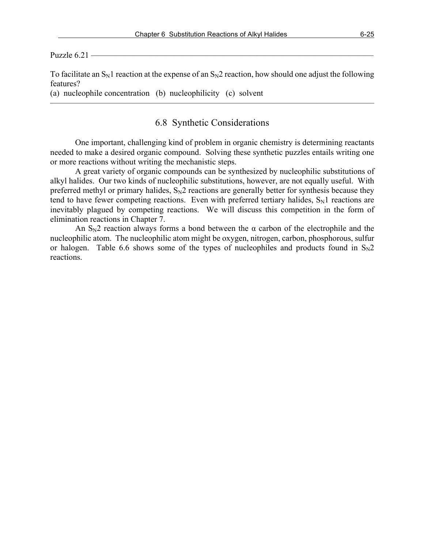Puzzle  $6.21$  —

To facilitate an  $S_N1$  reaction at the expense of an  $S_N2$  reaction, how should one adjust the following features?

(a) nucleophile concentration (b) nucleophilicity (c) solvent

### 6.8 Synthetic Considerations

 $\overline{\phantom{a}}$  , and the contract of the contract of  $\overline{\phantom{a}}$ 

One important, challenging kind of problem in organic chemistry is determining reactants needed to make a desired organic compound. Solving these synthetic puzzles entails writing one or more reactions without writing the mechanistic steps.

A great variety of organic compounds can be synthesized by nucleophilic substitutions of alkyl halides. Our two kinds of nucleophilic substitutions, however, are not equally useful. With preferred methyl or primary halides,  $S_N2$  reactions are generally better for synthesis because they tend to have fewer competing reactions. Even with preferred tertiary halides,  $S_N1$  reactions are inevitably plagued by competing reactions. We will discuss this competition in the form of elimination reactions in Chapter 7.

An  $S_N$ 2 reaction always forms a bond between the  $\alpha$  carbon of the electrophile and the nucleophilic atom. The nucleophilic atom might be oxygen, nitrogen, carbon, phosphorous, sulfur or halogen. Table 6.6 shows some of the types of nucleophiles and products found in  $S_N2$ reactions.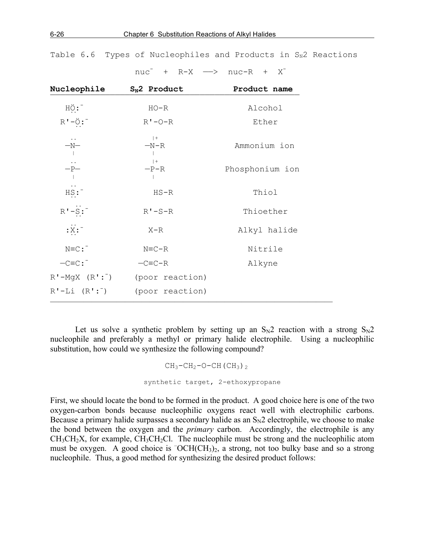| Nucleophile                                                                                  | $S_N2$ Product  | Product name    |
|----------------------------------------------------------------------------------------------|-----------------|-----------------|
| HO:                                                                                          | $HO-R$          | Alcohol         |
| $R' - \ddot{Q}$ :                                                                            | $R'$ -0- $R$    | Ether           |
| $\stackrel{-N-}{\scriptstyle \smash{\scriptstyle \mathcal{N}}}$                              | $ +$<br>$-N-R$  | Ammonium ion    |
| $\begin{array}{c} \dots \\ -{\mathbf{P}} \quad \\ \longmapsto \\ \shortparallel \end{array}$ | $ +$<br>$-P-R$  | Phosphonium ion |
| HS:                                                                                          | $HS - R$        | Thiol           |
| $R' - S$ :                                                                                   | $R'$ -S-R       | Thioether       |
| $:\ddot{\mathbf{x}}$ :                                                                       | $X-R$           | Alkyl halide    |
| $N=C$ :                                                                                      | $N=C-R$         | Nitrile         |
| $-C=CC:$                                                                                     | $-C= C-R$       | Alkyne          |
| $R'$ -MgX $(R':^-)$                                                                          | (poor reaction) |                 |
| $R'-Li$ $(R':^-)$                                                                            | (poor reaction) |                 |

 $nuc^{-}$  + R-X  $\longrightarrow$  nuc-R + X<sup>-</sup>

Table 6.6 Types of Nucleophiles and Products in  $S_N^2$  Reactions

Let us solve a synthetic problem by setting up an  $S_N2$  reaction with a strong  $S_N2$ nucleophile and preferably a methyl or primary halide electrophile. Using a nucleophilic substitution, how could we synthesize the following compound?

```
CH_3-CH_2-O-CH (CH<sub>3</sub>)<sub>2</sub>
synthetic target, 2-ethoxypropane
```
First, we should locate the bond to be formed in the product. A good choice here is one of the two oxygen-carbon bonds because nucleophilic oxygens react well with electrophilic carbons. Because a primary halide surpasses a secondary halide as an  $S_N2$  electrophile, we choose to make the bond between the oxygen and the *primary* carbon. Accordingly, the electrophile is any  $CH<sub>3</sub>CH<sub>2</sub>X$ , for example,  $CH<sub>3</sub>CH<sub>2</sub>Cl$ . The nucleophile must be strong and the nucleophilic atom must be oxygen. A good choice is <sup>-</sup>OCH(CH<sub>3</sub>)<sub>2</sub>, a strong, not too bulky base and so a strong nucleophile. Thus, a good method for synthesizing the desired product follows: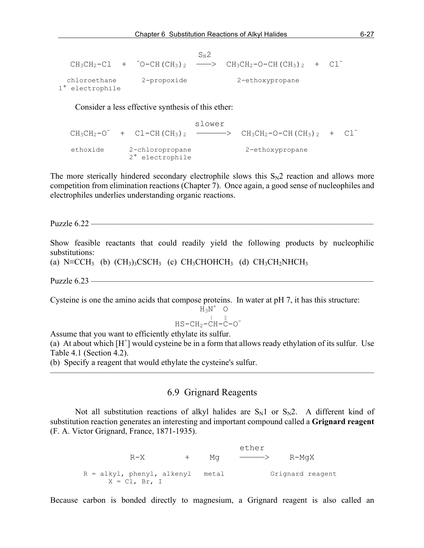|                                 |             | $S_{\rm M}$ 2 |                                                                                        |  |
|---------------------------------|-------------|---------------|----------------------------------------------------------------------------------------|--|
|                                 |             |               | $CH_3CH_2-Cl$ + $^-O-CH (CH_3)$ 2 - $\longrightarrow$ $CH_3CH_2-O-CH (CH_3)$ + $Cl^-\$ |  |
| chloroethane<br>1° electrophile | 2-propoxide |               | 2-ethoxypropane                                                                        |  |

Consider a less effective synthesis of this ether:

 slower  $CH_3CH_2-O^-$  +  $Cl-CH~(CH_3)$  2 ---------->  $CH_3CH_2-O-CH~(CH_3)$  +  $Cl^$  ethoxide 2-chloropropane 2-ethoxypropane 2° electrophile

The more sterically hindered secondary electrophile slows this  $S_N2$  reaction and allows more competition from elimination reactions (Chapter 7). Once again, a good sense of nucleophiles and electrophiles underlies understanding organic reactions.

Puzzle 6.22 ————————————————————

Show feasible reactants that could readily yield the following products by nucleophilic substitutions:

(a) N≡CCH<sub>3</sub> (b)  $(CH_3)_3CSCH_3$  (c) CH<sub>3</sub>CHOHCH<sub>3</sub> (d) CH<sub>3</sub>CH<sub>2</sub>NHCH<sub>3</sub>

Puzzle  $6.23$  —

Cysteine is one the amino acids that compose proteins. In water at pH 7, it has this structure:

 $H_3N^+$  $\begin{array}{ccccc}\n\text{H}_3\text{N}^+ & \text{O} \\
\text{I} & \text{II}\n\end{array}$ 

 $HS-CH<sub>2</sub>-CH-C-O<sup>-</sup>$ 

Assume that you want to efficiently ethylate its sulfur.

(a) At about which  $[H^+]$  would cysteine be in a form that allows ready ethylation of its sulfur. Use Table 4.1 (Section 4.2).

(b) Specify a reagent that would ethylate the cysteine's sulfur.

## 6.9 Grignard Reagents

———————————————————————————————————————

Not all substitution reactions of alkyl halides are  $S_N1$  or  $S_N2$ . A different kind of substitution reaction generates an interesting and important compound called a **Grignard reagent** (F. A. Victor Grignard, France, 1871-1935).

ether with the state of the state of the state of the state of the state of the state of the state of the state of the state of the state of the state of the state of the state of the state of the state of the state of the  $R-X$  + Mg  $\longrightarrow$   $R-MqX$ R = alkyl, phenyl, alkenyl metal Grignard reagent  $X = CL$ , Br, I

Because carbon is bonded directly to magnesium, a Grignard reagent is also called an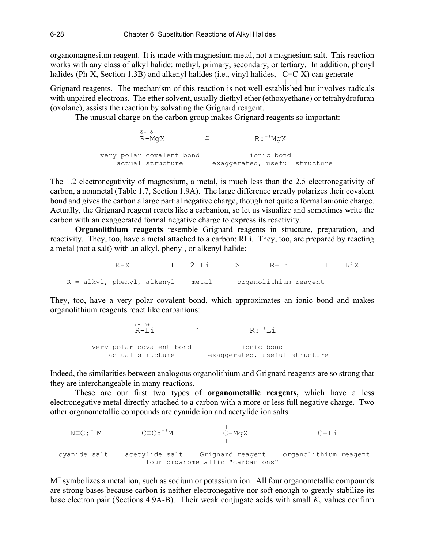organomagnesium reagent. It is made with magnesium metal, not a magnesium salt. This reaction works with any class of alkyl halide: methyl, primary, secondary, or tertiary. In addition, phenyl halides (Ph-X, Section 1.3B) and alkenyl halides (i.e., vinyl halides,  $-C=C-X$ ) can generate

Grignard reagents. The mechanism of this reaction is not well established but involves radicals with unpaired electrons. The ether solvent, usually diethyl ether (ethoxyethane) or tetrahydrofuran (oxolane), assists the reaction by solvating the Grignard reagent.

The unusual charge on the carbon group makes Grignard reagents so important:

```
 δ- δ+
R-MgX \cong R:<sup>-+</sup>
                                            \mathrm{R}: \mathrm{~}^+ \mathrm{M}aX
           very polar covalent bond ionic bond
               actual structure exaggerated, useful structure
```
The 1.2 electronegativity of magnesium, a metal, is much less than the 2.5 electronegativity of carbon, a nonmetal (Table 1.7, Section 1.9A). The large difference greatly polarizes their covalent bond and gives the carbon a large partial negative charge, though not quite a formal anionic charge. Actually, the Grignard reagent reacts like a carbanion, so let us visualize and sometimes write the carbon with an exaggerated formal negative charge to express its reactivity.

**Organolithium reagents** resemble Grignard reagents in structure, preparation, and reactivity. They, too, have a metal attached to a carbon: RLi. They, too, are prepared by reacting a metal (not a salt) with an alkyl, phenyl, or alkenyl halide:

|                                                        | $R - X$ | + 2 Li --> | $R-L1$ | + LiX |
|--------------------------------------------------------|---------|------------|--------|-------|
| R = alkyl, phenyl, alkenyl metal organolithium reagent |         |            |        |       |

They, too, have a very polar covalent bond, which approximates an ionic bond and makes organolithium reagents react like carbanions:

| $\frac{\delta - \delta +}{\delta - I \cdot i}$ |                               | $R:$ <sup>-+</sup> Li |  |
|------------------------------------------------|-------------------------------|-----------------------|--|
| very polar covalent bond                       |                               | ionic bond            |  |
| actual structure                               | exaggerated, useful structure |                       |  |

Indeed, the similarities between analogous organolithium and Grignard reagents are so strong that they are interchangeable in many reactions.

These are our first two types of **organometallic reagents,** which have a less electronegative metal directly attached to a carbon with a more or less full negative charge. Two other organometallic compounds are cyanide ion and acetylide ion salts:

 | |  $N\equiv C:$   $^{-+}M$  $-C\equiv C:$   $^{-+}M$  $N \equiv C : \begin{matrix} -^+M & -C \equiv C : \begin{matrix} -^+M & -C-MgX & -C-L \end{matrix} \end{matrix}$  cyanide salt acetylide salt Grignard reagent organolithium reagent four organometallic "carbanions"

 $M<sup>+</sup>$  symbolizes a metal ion, such as sodium or potassium ion. All four organometallic compounds are strong bases because carbon is neither electronegative nor soft enough to greatly stabilize its base electron pair (Sections 4.9A-B). Their weak conjugate acids with small  $K_a$  values confirm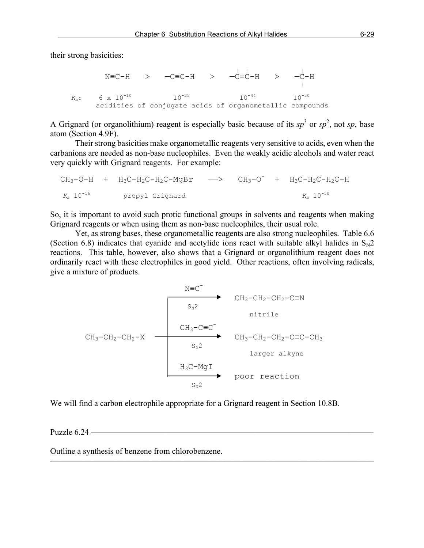their strong basicities:

```
 | | |
N≡C-H > —C≡C-H > —C=C-H > —C−H
   K<sub>a</sub>: 6 x 10<sup>-10</sup> 10<sup>-25</sup> 10<sup>-44</sup> 10<sup>-50</sup>
        acidities of conjugate acids of organometallic compounds
```
A Grignard (or organolithium) reagent is especially basic because of its  $sp^3$  or  $sp^2$ , not sp, base atom (Section 4.9F).

Their strong basicities make organometallic reagents very sensitive to acids, even when the carbanions are needed as non-base nucleophiles. Even the weakly acidic alcohols and water react very quickly with Grignard reagents. For example:

 $CH_3-O-H$  +  $H_3C-H_2C-H_2C-MgBr$  -->  $CH_3-O^-$  +  $H_3C-H_2C-H_2C-H$  $K_a$  10<sup>-16</sup> propyl Grignard  $K_a$  10<sup>-50</sup>

So, it is important to avoid such protic functional groups in solvents and reagents when making Grignard reagents or when using them as non-base nucleophiles, their usual role.

Yet, as strong bases, these organometallic reagents are also strong nucleophiles. Table 6.6 (Section 6.8) indicates that cyanide and acetylide ions react with suitable alkyl halides in  $S_N2$ reactions. This table, however, also shows that a Grignard or organolithium reagent does not ordinarily react with these electrophiles in good yield. Other reactions, often involving radicals, give a mixture of products.



We will find a carbon electrophile appropriate for a Grignard reagent in Section 10.8B.

———————————————————————————————————————

Puzzle  $6.24$  —

Outline a synthesis of benzene from chlorobenzene.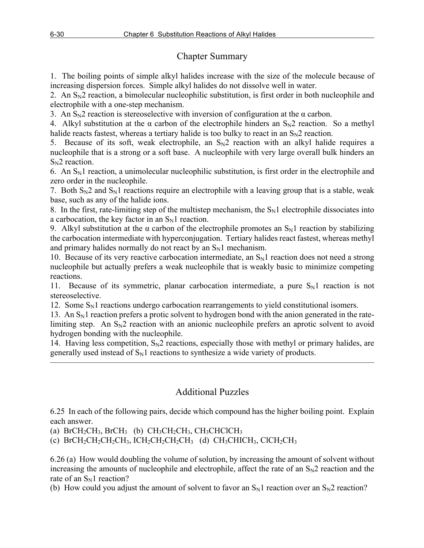# Chapter Summary

1. The boiling points of simple alkyl halides increase with the size of the molecule because of increasing dispersion forces. Simple alkyl halides do not dissolve well in water.

2. An  $S_N$ 2 reaction, a bimolecular nucleophilic substitution, is first order in both nucleophile and electrophile with a one-step mechanism.

3. An  $S_N$ 2 reaction is stereoselective with inversion of configuration at the  $\alpha$  carbon.

4. Alkyl substitution at the  $\alpha$  carbon of the electrophile hinders an  $S_N2$  reaction. So a methyl halide reacts fastest, whereas a tertiary halide is too bulky to react in an  $S_N2$  reaction.

5. Because of its soft, weak electrophile, an  $S_N2$  reaction with an alkyl halide requires a nucleophile that is a strong or a soft base. A nucleophile with very large overall bulk hinders an  $S_N2$  reaction.

6. An  $S_N$ 1 reaction, a unimolecular nucleophilic substitution, is first order in the electrophile and zero order in the nucleophile.

7. Both  $S_N2$  and  $S_N1$  reactions require an electrophile with a leaving group that is a stable, weak base, such as any of the halide ions.

8. In the first, rate-limiting step of the multistep mechanism, the  $S_N1$  electrophile dissociates into a carbocation, the key factor in an  $S_N1$  reaction.

9. Alkyl substitution at the  $\alpha$  carbon of the electrophile promotes an  $S_N1$  reaction by stabilizing the carbocation intermediate with hyperconjugation. Tertiary halides react fastest, whereas methyl and primary halides normally do not react by an  $S_N1$  mechanism.

10. Because of its very reactive carbocation intermediate, an  $S_N1$  reaction does not need a strong nucleophile but actually prefers a weak nucleophile that is weakly basic to minimize competing reactions.

11. Because of its symmetric, planar carbocation intermediate, a pure  $S_N1$  reaction is not stereoselective.

12. Some  $S_N1$  reactions undergo carbocation rearrangements to yield constitutional isomers.

13. An  $S_N$ 1 reaction prefers a protic solvent to hydrogen bond with the anion generated in the ratelimiting step. An  $S_N2$  reaction with an anionic nucleophile prefers an aprotic solvent to avoid hydrogen bonding with the nucleophile.

14. Having less competition,  $S_N2$  reactions, especially those with methyl or primary halides, are generally used instead of  $S_N1$  reactions to synthesize a wide variety of products.

———————————————————————————————————————

# Additional Puzzles

6.25 In each of the following pairs, decide which compound has the higher boiling point. Explain each answer.

(a) BrCH<sub>2</sub>CH<sub>3</sub>, BrCH<sub>3</sub> (b) CH<sub>3</sub>CH<sub>2</sub>CH<sub>3</sub>, CH<sub>3</sub>CHClCH<sub>3</sub>

(c)  $BrCH_2CH_2CH_2CH_3$ ,  $ICH_2CH_2CH_2CH_3$  (d)  $CH_3CHICH_3$ ,  $ClCH_2CH_3$ 

6.26 (a) How would doubling the volume of solution, by increasing the amount of solvent without increasing the amounts of nucleophile and electrophile, affect the rate of an  $S_N2$  reaction and the rate of an  $S_N1$  reaction?

(b) How could you adjust the amount of solvent to favor an  $S_N1$  reaction over an  $S_N2$  reaction?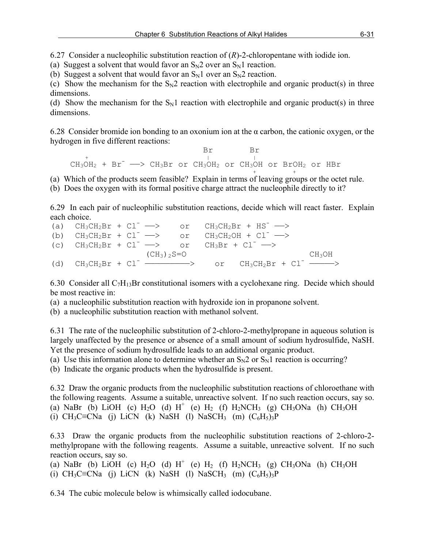6.27 Consider a nucleophilic substitution reaction of (*R*)-2-chloropentane with iodide ion.

(a) Suggest a solvent that would favor an  $S_N2$  over an  $S_N1$  reaction.

(b) Suggest a solvent that would favor an  $S_N1$  over an  $S_N2$  reaction.

(c) Show the mechanism for the  $S_N2$  reaction with electrophile and organic product(s) in three dimensions.

(d) Show the mechanism for the  $S_N1$  reaction with electrophile and organic product(s) in three dimensions.

6.28 Consider bromide ion bonding to an oxonium ion at the α carbon, the cationic oxygen, or the hydrogen in five different reactions:

 Br Br + | |  $\text{CH}_3\text{OH}_2$  + Br<sup>-</sup>  $\longrightarrow$  CH<sub>3</sub>Br or CH<sub>3</sub>OH<sub>2</sub> or CH<sub>3</sub>OH or BrOH<sub>2</sub> or HBr

(a) Which of the products seem feasible? Explain in terms of leaving groups or the octet rule.

(b) Does the oxygen with its formal positive charge attract the nucleophile directly to it?

6.29 In each pair of nucleophilic substitution reactions, decide which will react faster. Explain each choice.

|                                                                            |  |                  |  | (a) $CH_3CH_2Br + Cl^- \longrightarrow$ or $CH_3CH_2Br + HS^- \longrightarrow$ |                    |
|----------------------------------------------------------------------------|--|------------------|--|--------------------------------------------------------------------------------|--------------------|
|                                                                            |  |                  |  | (b) $CH_3CH_2Br + Cl^- \longrightarrow$ or $CH_3CH_2OH + Cl^- \longrightarrow$ |                    |
| (c) $CH_3CH_2Br + Cl^- \longrightarrow$ or $CH_3Br + Cl^- \longrightarrow$ |  |                  |  |                                                                                |                    |
|                                                                            |  | $(CH_3)$ , $S=O$ |  |                                                                                | CH <sub>3</sub> OH |
|                                                                            |  |                  |  | (d) $CH_3CH_2Br + Cl^-$ ----------> or $CH_3CH_2Br + Cl^-$                     |                    |

6.30 Consider all  $C_7H_{13}Br$  constitutional isomers with a cyclohexane ring. Decide which should be most reactive in:

(a) a nucleophilic substitution reaction with hydroxide ion in propanone solvent.

(b) a nucleophilic substitution reaction with methanol solvent.

6.31 The rate of the nucleophilic substitution of 2-chloro-2-methylpropane in aqueous solution is largely unaffected by the presence or absence of a small amount of sodium hydrosulfide, NaSH. Yet the presence of sodium hydrosulfide leads to an additional organic product.

(a) Use this information alone to determine whether an  $S_N2$  or  $S_N1$  reaction is occurring?

(b) Indicate the organic products when the hydrosulfide is present.

6.32 Draw the organic products from the nucleophilic substitution reactions of chloroethane with the following reagents. Assume a suitable, unreactive solvent. If no such reaction occurs, say so. (a) NaBr (b) LiOH (c)  $H_2O$  (d)  $H^+$  (e)  $H_2$  (f)  $H_2NCH_3$  (g) CH<sub>3</sub>ONa (h) CH<sub>3</sub>OH (i) CH<sub>3</sub>C≡CNa (j) LiCN (k) NaSH (l) NaSCH<sub>3</sub> (m)  $(C_6H_5)_{3}P$ 

6.33 Draw the organic products from the nucleophilic substitution reactions of 2-chloro-2 methylpropane with the following reagents. Assume a suitable, unreactive solvent. If no such reaction occurs, say so.

(a) NaBr (b) LiOH (c)  $H_2O$  (d)  $H^+$  (e)  $H_2$  (f)  $H_2NCH_3$  (g) CH<sub>3</sub>ONa (h) CH<sub>3</sub>OH (i) CH<sub>3</sub>C≡CNa (j) LiCN (k) NaSH (l) NaSCH<sub>3</sub> (m)  $(C_6H_5)$ <sub>3</sub>P

6.34 The cubic molecule below is whimsically called iodocubane.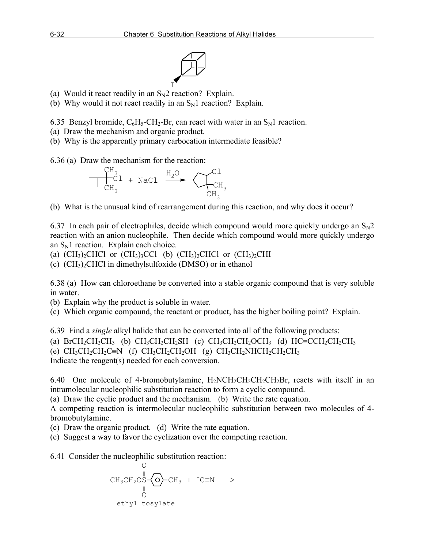

- $\mathbf I$ (a) Would it react readily in an  $S_N2$  reaction? Explain.
- (b) Why would it not react readily in an  $S_N1$  reaction? Explain.

6.35 Benzyl bromide,  $C_6H_5-CH_2-Br$ , can react with water in an  $S_N1$  reaction.

- (a) Draw the mechanism and organic product.
- (b) Why is the apparently primary carbocation intermediate feasible?

6.36 (a) Draw the mechanism for the reaction:



(b) What is the unusual kind of rearrangement during this reaction, and why does it occur?

6.37 In each pair of electrophiles, decide which compound would more quickly undergo an  $S_N2$ reaction with an anion nucleophile. Then decide which compound would more quickly undergo an  $S_N1$  reaction. Explain each choice.

(a)  $(CH_3)_2CHCl$  or  $(CH_3)_3CCl$  (b)  $(CH_3)_2CHCl$  or  $(CH_3)_2CHl$ 

(c)  $(CH_3)$ <sub>2</sub>CHCl in dimethylsulfoxide (DMSO) or in ethanol

6.38 (a) How can chloroethane be converted into a stable organic compound that is very soluble in water.

(b) Explain why the product is soluble in water.

(c) Which organic compound, the reactant or product, has the higher boiling point? Explain.

6.39 Find a *single* alkyl halide that can be converted into all of the following products: (a) BrCH<sub>2</sub>CH<sub>2</sub>CH<sub>3</sub> (b) CH<sub>3</sub>CH<sub>2</sub>CH<sub>2</sub>SH (c) CH<sub>3</sub>CH<sub>2</sub>CH<sub>2</sub>OCH<sub>3</sub> (d) HC=CCH<sub>2</sub>CH<sub>2</sub>CH<sub>3</sub> (e)  $CH_3CH_2CH_2C\equiv N$  (f)  $CH_3CH_2CH_2OH$  (g)  $CH_3CH_2NHCH_2CH_2CH_3$ Indicate the reagent(s) needed for each conversion.

6.40 One molecule of 4-bromobutylamine,  $H_2NCH_2CH_2CH_2CH_2Br$ , reacts with itself in an intramolecular nucleophilic substitution reaction to form a cyclic compound.

(a) Draw the cyclic product and the mechanism. (b) Write the rate equation.

A competing reaction is intermolecular nucleophilic substitution between two molecules of 4 bromobutylamine.

(c) Draw the organic product. (d) Write the rate equation.

(e) Suggest a way to favor the cyclization over the competing reaction.

6.41 Consider the nucleophilic substitution reaction: